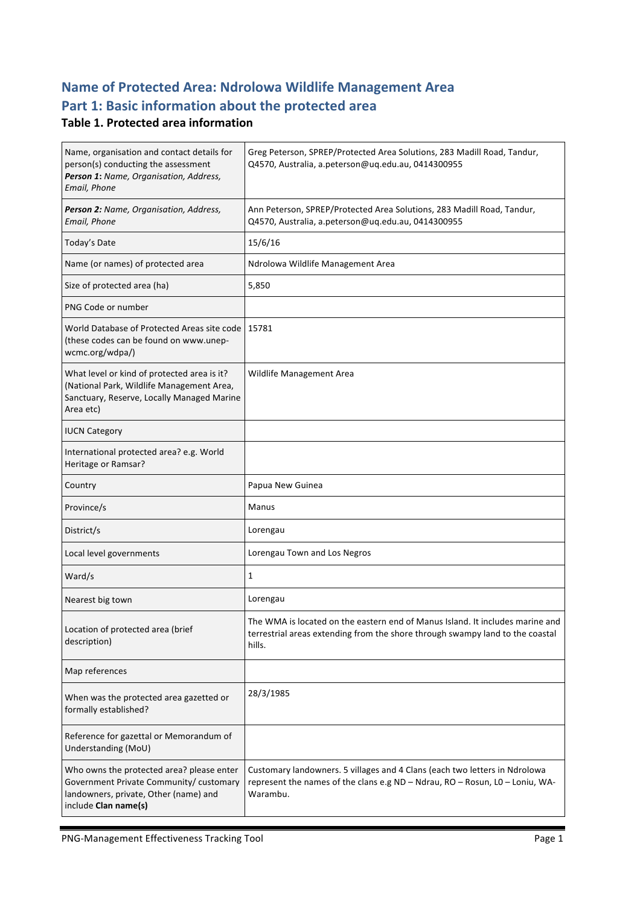# **Name of Protected Area: Ndrolowa Wildlife Management Area** Part 1: Basic information about the protected area

### **Table 1. Protected area information**

| Name, organisation and contact details for<br>person(s) conducting the assessment<br>Person 1: Name, Organisation, Address,<br>Email, Phone           | Greg Peterson, SPREP/Protected Area Solutions, 283 Madill Road, Tandur,<br>Q4570, Australia, a.peterson@uq.edu.au, 0414300955                                            |
|-------------------------------------------------------------------------------------------------------------------------------------------------------|--------------------------------------------------------------------------------------------------------------------------------------------------------------------------|
| Person 2: Name, Organisation, Address,<br>Email, Phone                                                                                                | Ann Peterson, SPREP/Protected Area Solutions, 283 Madill Road, Tandur,<br>Q4570, Australia, a.peterson@uq.edu.au, 0414300955                                             |
| Today's Date                                                                                                                                          | 15/6/16                                                                                                                                                                  |
| Name (or names) of protected area                                                                                                                     | Ndrolowa Wildlife Management Area                                                                                                                                        |
| Size of protected area (ha)                                                                                                                           | 5,850                                                                                                                                                                    |
| PNG Code or number                                                                                                                                    |                                                                                                                                                                          |
| World Database of Protected Areas site code<br>(these codes can be found on www.unep-<br>wcmc.org/wdpa/)                                              | 15781                                                                                                                                                                    |
| What level or kind of protected area is it?<br>(National Park, Wildlife Management Area,<br>Sanctuary, Reserve, Locally Managed Marine<br>Area etc)   | Wildlife Management Area                                                                                                                                                 |
| <b>IUCN Category</b>                                                                                                                                  |                                                                                                                                                                          |
| International protected area? e.g. World<br>Heritage or Ramsar?                                                                                       |                                                                                                                                                                          |
| Country                                                                                                                                               | Papua New Guinea                                                                                                                                                         |
| Province/s                                                                                                                                            | Manus                                                                                                                                                                    |
| District/s                                                                                                                                            | Lorengau                                                                                                                                                                 |
| Local level governments                                                                                                                               | Lorengau Town and Los Negros                                                                                                                                             |
| Ward/s                                                                                                                                                | 1                                                                                                                                                                        |
| Nearest big town                                                                                                                                      | Lorengau                                                                                                                                                                 |
| Location of protected area (brief<br>description)                                                                                                     | The WMA is located on the eastern end of Manus Island. It includes marine and<br>terrestrial areas extending from the shore through swampy land to the coastal<br>hills. |
| Map references                                                                                                                                        |                                                                                                                                                                          |
| When was the protected area gazetted or<br>formally established?                                                                                      | 28/3/1985                                                                                                                                                                |
| Reference for gazettal or Memorandum of<br>Understanding (MoU)                                                                                        |                                                                                                                                                                          |
| Who owns the protected area? please enter<br>Government Private Community/ customary<br>landowners, private, Other (name) and<br>include Clan name(s) | Customary landowners. 5 villages and 4 Clans (each two letters in Ndrolowa<br>represent the names of the clans e.g ND - Ndrau, RO - Rosun, LO - Loniu, WA-<br>Warambu.   |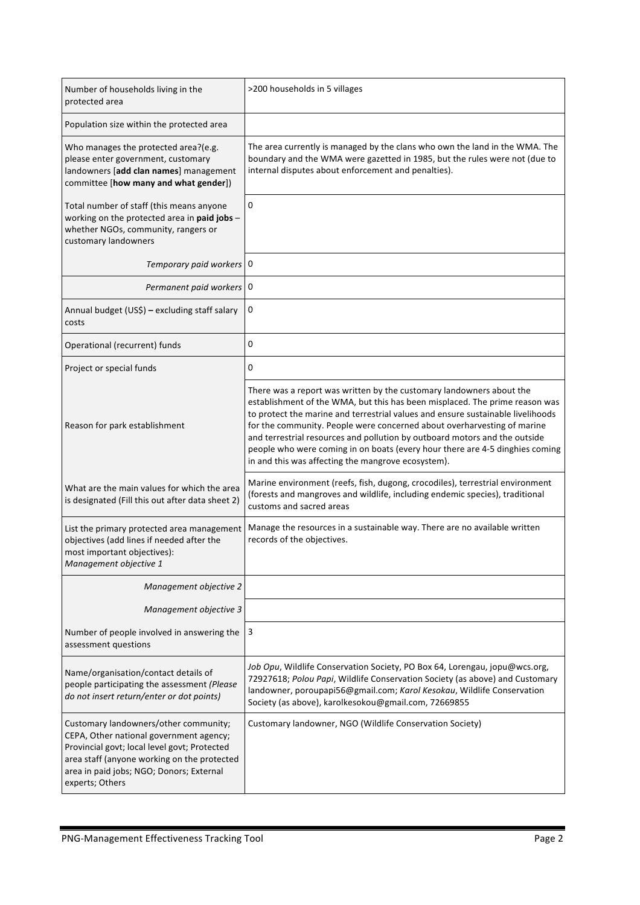| Number of households living in the<br>protected area                                                                                                                                                                                           | >200 households in 5 villages                                                                                                                                                                                                                                                                                                                                                                                                                                                                                                         |
|------------------------------------------------------------------------------------------------------------------------------------------------------------------------------------------------------------------------------------------------|---------------------------------------------------------------------------------------------------------------------------------------------------------------------------------------------------------------------------------------------------------------------------------------------------------------------------------------------------------------------------------------------------------------------------------------------------------------------------------------------------------------------------------------|
| Population size within the protected area                                                                                                                                                                                                      |                                                                                                                                                                                                                                                                                                                                                                                                                                                                                                                                       |
| Who manages the protected area?(e.g.<br>please enter government, customary<br>landowners [add clan names] management<br>committee [how many and what gender])                                                                                  | The area currently is managed by the clans who own the land in the WMA. The<br>boundary and the WMA were gazetted in 1985, but the rules were not (due to<br>internal disputes about enforcement and penalties).                                                                                                                                                                                                                                                                                                                      |
| Total number of staff (this means anyone<br>working on the protected area in paid jobs -<br>whether NGOs, community, rangers or<br>customary landowners                                                                                        | 0                                                                                                                                                                                                                                                                                                                                                                                                                                                                                                                                     |
| Temporary paid workers   0                                                                                                                                                                                                                     |                                                                                                                                                                                                                                                                                                                                                                                                                                                                                                                                       |
| Permanent paid workers 0                                                                                                                                                                                                                       |                                                                                                                                                                                                                                                                                                                                                                                                                                                                                                                                       |
| Annual budget (US\$) - excluding staff salary<br>costs                                                                                                                                                                                         | 0                                                                                                                                                                                                                                                                                                                                                                                                                                                                                                                                     |
| Operational (recurrent) funds                                                                                                                                                                                                                  | 0                                                                                                                                                                                                                                                                                                                                                                                                                                                                                                                                     |
| Project or special funds                                                                                                                                                                                                                       | 0                                                                                                                                                                                                                                                                                                                                                                                                                                                                                                                                     |
| Reason for park establishment                                                                                                                                                                                                                  | There was a report was written by the customary landowners about the<br>establishment of the WMA, but this has been misplaced. The prime reason was<br>to protect the marine and terrestrial values and ensure sustainable livelihoods<br>for the community. People were concerned about overharvesting of marine<br>and terrestrial resources and pollution by outboard motors and the outside<br>people who were coming in on boats (every hour there are 4-5 dinghies coming<br>in and this was affecting the mangrove ecosystem). |
| What are the main values for which the area<br>is designated (Fill this out after data sheet 2)                                                                                                                                                | Marine environment (reefs, fish, dugong, crocodiles), terrestrial environment<br>(forests and mangroves and wildlife, including endemic species), traditional<br>customs and sacred areas                                                                                                                                                                                                                                                                                                                                             |
| List the primary protected area management<br>objectives (add lines if needed after the<br>most important objectives):<br>Management objective 1                                                                                               | Manage the resources in a sustainable way. There are no available written<br>records of the objectives.                                                                                                                                                                                                                                                                                                                                                                                                                               |
| Management objective 2                                                                                                                                                                                                                         |                                                                                                                                                                                                                                                                                                                                                                                                                                                                                                                                       |
| Management objective 3                                                                                                                                                                                                                         |                                                                                                                                                                                                                                                                                                                                                                                                                                                                                                                                       |
| Number of people involved in answering the<br>assessment questions                                                                                                                                                                             | 3                                                                                                                                                                                                                                                                                                                                                                                                                                                                                                                                     |
| Name/organisation/contact details of<br>people participating the assessment (Please<br>do not insert return/enter or dot points)                                                                                                               | Job Opu, Wildlife Conservation Society, PO Box 64, Lorengau, jopu@wcs.org,<br>72927618; Polou Papi, Wildlife Conservation Society (as above) and Customary<br>landowner, poroupapi56@gmail.com; Karol Kesokau, Wildlife Conservation<br>Society (as above), karolkesokou@gmail.com, 72669855                                                                                                                                                                                                                                          |
| Customary landowners/other community;<br>CEPA, Other national government agency;<br>Provincial govt; local level govt; Protected<br>area staff (anyone working on the protected<br>area in paid jobs; NGO; Donors; External<br>experts; Others | Customary landowner, NGO (Wildlife Conservation Society)                                                                                                                                                                                                                                                                                                                                                                                                                                                                              |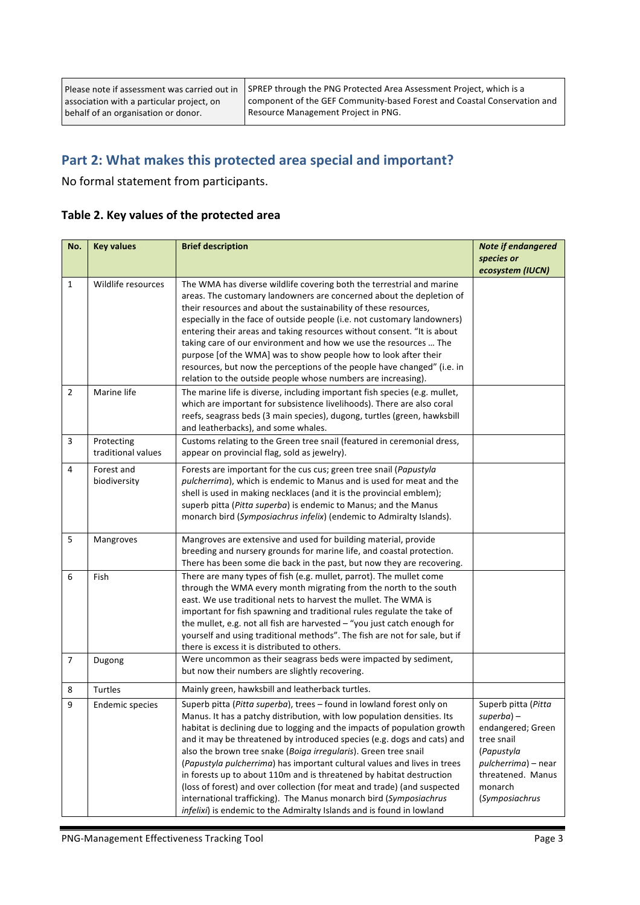Please note if assessment was carried out in association with a particular project, on behalf of an organisation or donor.

SPREP through the PNG Protected Area Assessment Project, which is a component of the GEF Community-based Forest and Coastal Conservation and Resource Management Project in PNG.

### Part 2: What makes this protected area special and important?

No formal statement from participants.

| No.            | <b>Key values</b>      | <b>Brief description</b>                                                                                                                            | <b>Note if endangered</b>       |
|----------------|------------------------|-----------------------------------------------------------------------------------------------------------------------------------------------------|---------------------------------|
|                |                        |                                                                                                                                                     | species or                      |
|                |                        |                                                                                                                                                     | ecosystem (IUCN)                |
| $\mathbf{1}$   | Wildlife resources     | The WMA has diverse wildlife covering both the terrestrial and marine                                                                               |                                 |
|                |                        | areas. The customary landowners are concerned about the depletion of                                                                                |                                 |
|                |                        | their resources and about the sustainability of these resources,                                                                                    |                                 |
|                |                        | especially in the face of outside people (i.e. not customary landowners)                                                                            |                                 |
|                |                        | entering their areas and taking resources without consent. "It is about<br>taking care of our environment and how we use the resources  The         |                                 |
|                |                        | purpose [of the WMA] was to show people how to look after their                                                                                     |                                 |
|                |                        | resources, but now the perceptions of the people have changed" (i.e. in                                                                             |                                 |
|                |                        | relation to the outside people whose numbers are increasing).                                                                                       |                                 |
| 2              | Marine life            | The marine life is diverse, including important fish species (e.g. mullet,                                                                          |                                 |
|                |                        | which are important for subsistence livelihoods). There are also coral                                                                              |                                 |
|                |                        | reefs, seagrass beds (3 main species), dugong, turtles (green, hawksbill                                                                            |                                 |
|                |                        | and leatherbacks), and some whales.                                                                                                                 |                                 |
| 3              | Protecting             | Customs relating to the Green tree snail (featured in ceremonial dress,                                                                             |                                 |
|                | traditional values     | appear on provincial flag, sold as jewelry).                                                                                                        |                                 |
| 4              | Forest and             | Forests are important for the cus cus; green tree snail (Papustyla                                                                                  |                                 |
|                | biodiversity           | pulcherrima), which is endemic to Manus and is used for meat and the                                                                                |                                 |
|                |                        | shell is used in making necklaces (and it is the provincial emblem);                                                                                |                                 |
|                |                        | superb pitta (Pitta superba) is endemic to Manus; and the Manus                                                                                     |                                 |
|                |                        | monarch bird (Symposiachrus infelix) (endemic to Admiralty Islands).                                                                                |                                 |
| 5              | Mangroves              | Mangroves are extensive and used for building material, provide                                                                                     |                                 |
|                |                        | breeding and nursery grounds for marine life, and coastal protection.                                                                               |                                 |
|                |                        | There has been some die back in the past, but now they are recovering.                                                                              |                                 |
| 6              | Fish                   | There are many types of fish (e.g. mullet, parrot). The mullet come                                                                                 |                                 |
|                |                        | through the WMA every month migrating from the north to the south                                                                                   |                                 |
|                |                        | east. We use traditional nets to harvest the mullet. The WMA is                                                                                     |                                 |
|                |                        | important for fish spawning and traditional rules regulate the take of                                                                              |                                 |
|                |                        | the mullet, e.g. not all fish are harvested $-$ "you just catch enough for                                                                          |                                 |
|                |                        | yourself and using traditional methods". The fish are not for sale, but if                                                                          |                                 |
| $\overline{7}$ |                        | there is excess it is distributed to others.<br>Were uncommon as their seagrass beds were impacted by sediment,                                     |                                 |
|                | Dugong                 | but now their numbers are slightly recovering.                                                                                                      |                                 |
|                |                        |                                                                                                                                                     |                                 |
| 8              | Turtles                | Mainly green, hawksbill and leatherback turtles.                                                                                                    |                                 |
| 9              | <b>Endemic species</b> | Superb pitta (Pitta superba), trees - found in lowland forest only on                                                                               | Superb pitta (Pitta             |
|                |                        | Manus. It has a patchy distribution, with low population densities. Its<br>habitat is declining due to logging and the impacts of population growth | superba) –                      |
|                |                        | and it may be threatened by introduced species (e.g. dogs and cats) and                                                                             | endangered; Green<br>tree snail |
|                |                        | also the brown tree snake (Boiga irregularis). Green tree snail                                                                                     | (Papustyla                      |
|                |                        | (Papustyla pulcherrima) has important cultural values and lives in trees                                                                            | pulcherrima) – near             |
|                |                        | in forests up to about 110m and is threatened by habitat destruction                                                                                | threatened. Manus               |
|                |                        | (loss of forest) and over collection (for meat and trade) (and suspected                                                                            | monarch                         |
|                |                        | international trafficking). The Manus monarch bird (Symposiachrus                                                                                   | (Symposiachrus                  |
|                |                        | infelixi) is endemic to the Admiralty Islands and is found in lowland                                                                               |                                 |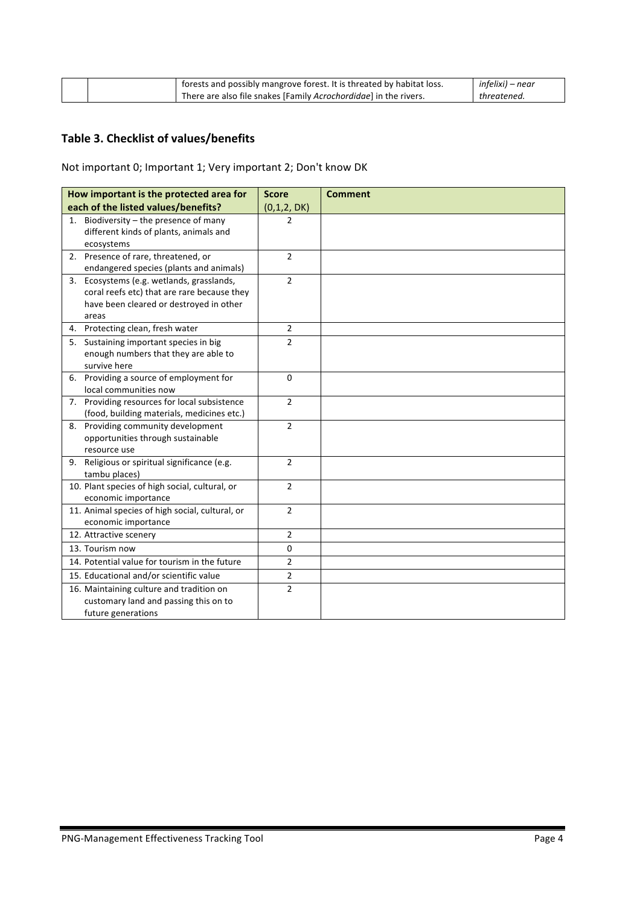|  | <sup>1</sup> forests and possibly mangrove forest. It is threated by habitat loss. | infelixi) – near |
|--|------------------------------------------------------------------------------------|------------------|
|  | There are also file snakes [Family Acrochordidge] in the rivers.                   | threatened       |

## **Table 3. Checklist of values/benefits**

Not important 0; Important 1; Very important 2; Don't know DK

| How important is the protected area for                                                  | <b>Score</b>   | <b>Comment</b> |
|------------------------------------------------------------------------------------------|----------------|----------------|
| each of the listed values/benefits?                                                      | (0,1,2, DK)    |                |
| 1. Biodiversity - the presence of many                                                   | 2              |                |
| different kinds of plants, animals and                                                   |                |                |
| ecosystems                                                                               |                |                |
| 2. Presence of rare, threatened, or<br>endangered species (plants and animals)           | $\overline{2}$ |                |
|                                                                                          |                |                |
| 3. Ecosystems (e.g. wetlands, grasslands,<br>coral reefs etc) that are rare because they | $\overline{2}$ |                |
| have been cleared or destroyed in other                                                  |                |                |
| areas                                                                                    |                |                |
| 4. Protecting clean, fresh water                                                         | $\overline{2}$ |                |
| 5. Sustaining important species in big                                                   | $\overline{2}$ |                |
| enough numbers that they are able to                                                     |                |                |
| survive here                                                                             |                |                |
| 6. Providing a source of employment for                                                  | $\Omega$       |                |
| local communities now                                                                    |                |                |
| 7. Providing resources for local subsistence                                             | $\overline{2}$ |                |
| (food, building materials, medicines etc.)                                               |                |                |
| 8. Providing community development                                                       | $\overline{2}$ |                |
| opportunities through sustainable                                                        |                |                |
| resource use                                                                             |                |                |
| 9. Religious or spiritual significance (e.g.                                             | $\overline{2}$ |                |
| tambu places)                                                                            |                |                |
| 10. Plant species of high social, cultural, or                                           | $\overline{2}$ |                |
| economic importance                                                                      |                |                |
| 11. Animal species of high social, cultural, or                                          | $\overline{2}$ |                |
| economic importance                                                                      |                |                |
| 12. Attractive scenery                                                                   | $\overline{2}$ |                |
| 13. Tourism now                                                                          | $\Omega$       |                |
| 14. Potential value for tourism in the future                                            | $\overline{2}$ |                |
| 15. Educational and/or scientific value                                                  | $\overline{2}$ |                |
| 16. Maintaining culture and tradition on                                                 | $\overline{2}$ |                |
| customary land and passing this on to                                                    |                |                |
| future generations                                                                       |                |                |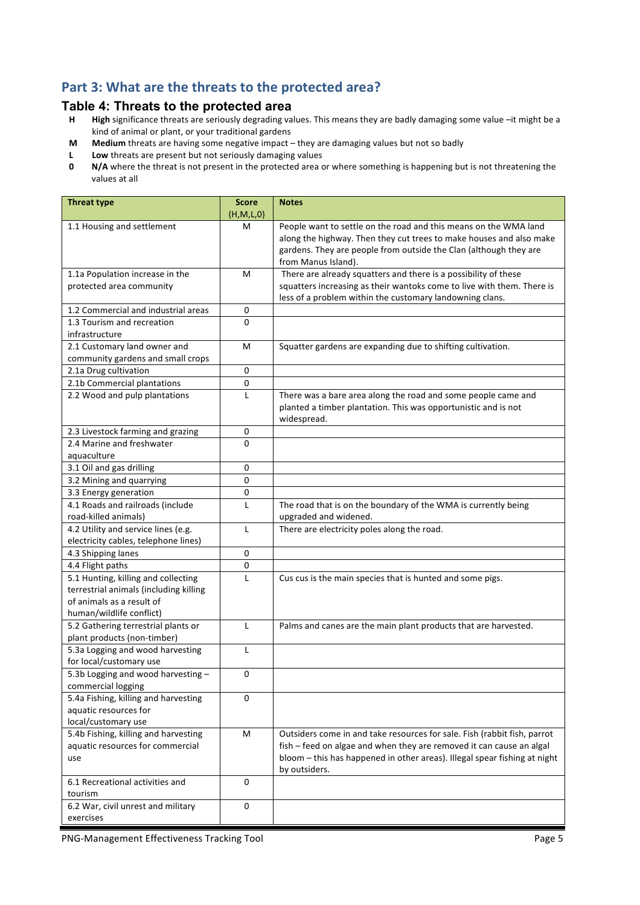### Part 3: What are the threats to the protected area?

#### **Table 4: Threats to the protected area**

- **H High** significance threats are seriously degrading values. This means they are badly damaging some value –it might be a kind of animal or plant, or your traditional gardens
- **M** Medium threats are having some negative impact they are damaging values but not so badly
- **L** Low threats are present but not seriously damaging values
- **0 N/A** where the threat is not present in the protected area or where something is happening but is not threatening the values at all

| <b>Threat type</b>                                                                                                                     | <b>Score</b><br>(H,M,L,0) | <b>Notes</b>                                                                                                                                                                                                                                   |
|----------------------------------------------------------------------------------------------------------------------------------------|---------------------------|------------------------------------------------------------------------------------------------------------------------------------------------------------------------------------------------------------------------------------------------|
| 1.1 Housing and settlement                                                                                                             | м                         | People want to settle on the road and this means on the WMA land<br>along the highway. Then they cut trees to make houses and also make<br>gardens. They are people from outside the Clan (although they are<br>from Manus Island).            |
| 1.1a Population increase in the                                                                                                        | м                         | There are already squatters and there is a possibility of these                                                                                                                                                                                |
| protected area community                                                                                                               |                           | squatters increasing as their wantoks come to live with them. There is<br>less of a problem within the customary landowning clans.                                                                                                             |
| 1.2 Commercial and industrial areas                                                                                                    | 0                         |                                                                                                                                                                                                                                                |
| 1.3 Tourism and recreation                                                                                                             | 0                         |                                                                                                                                                                                                                                                |
| infrastructure                                                                                                                         |                           |                                                                                                                                                                                                                                                |
| 2.1 Customary land owner and<br>community gardens and small crops                                                                      | M                         | Squatter gardens are expanding due to shifting cultivation.                                                                                                                                                                                    |
| 2.1a Drug cultivation                                                                                                                  | 0                         |                                                                                                                                                                                                                                                |
| 2.1b Commercial plantations                                                                                                            | 0                         |                                                                                                                                                                                                                                                |
| 2.2 Wood and pulp plantations                                                                                                          | L                         | There was a bare area along the road and some people came and<br>planted a timber plantation. This was opportunistic and is not<br>widespread.                                                                                                 |
| 2.3 Livestock farming and grazing                                                                                                      | 0                         |                                                                                                                                                                                                                                                |
| 2.4 Marine and freshwater<br>aquaculture                                                                                               | 0                         |                                                                                                                                                                                                                                                |
| 3.1 Oil and gas drilling                                                                                                               | 0                         |                                                                                                                                                                                                                                                |
| 3.2 Mining and quarrying                                                                                                               | 0                         |                                                                                                                                                                                                                                                |
| 3.3 Energy generation                                                                                                                  | 0                         |                                                                                                                                                                                                                                                |
| 4.1 Roads and railroads (include<br>road-killed animals)                                                                               | $\mathsf{L}$              | The road that is on the boundary of the WMA is currently being<br>upgraded and widened.                                                                                                                                                        |
| 4.2 Utility and service lines (e.g.<br>electricity cables, telephone lines)                                                            | L                         | There are electricity poles along the road.                                                                                                                                                                                                    |
| 4.3 Shipping lanes                                                                                                                     | 0                         |                                                                                                                                                                                                                                                |
| 4.4 Flight paths                                                                                                                       | 0                         |                                                                                                                                                                                                                                                |
| 5.1 Hunting, killing and collecting<br>terrestrial animals (including killing<br>of animals as a result of<br>human/wildlife conflict) | L                         | Cus cus is the main species that is hunted and some pigs.                                                                                                                                                                                      |
| 5.2 Gathering terrestrial plants or<br>plant products (non-timber)                                                                     | L                         | Palms and canes are the main plant products that are harvested.                                                                                                                                                                                |
| 5.3a Logging and wood harvesting<br>for local/customary use                                                                            | $\mathsf{L}$              |                                                                                                                                                                                                                                                |
| 5.3b Logging and wood harvesting -<br>commercial logging                                                                               | 0                         |                                                                                                                                                                                                                                                |
| 5.4a Fishing, killing and harvesting<br>aquatic resources for<br>local/customary use                                                   | 0                         |                                                                                                                                                                                                                                                |
| 5.4b Fishing, killing and harvesting<br>aquatic resources for commercial<br>use                                                        | M                         | Outsiders come in and take resources for sale. Fish (rabbit fish, parrot<br>fish - feed on algae and when they are removed it can cause an algal<br>bloom - this has happened in other areas). Illegal spear fishing at night<br>by outsiders. |
| 6.1 Recreational activities and<br>tourism                                                                                             | 0                         |                                                                                                                                                                                                                                                |
| 6.2 War, civil unrest and military<br>exercises                                                                                        | 0                         |                                                                                                                                                                                                                                                |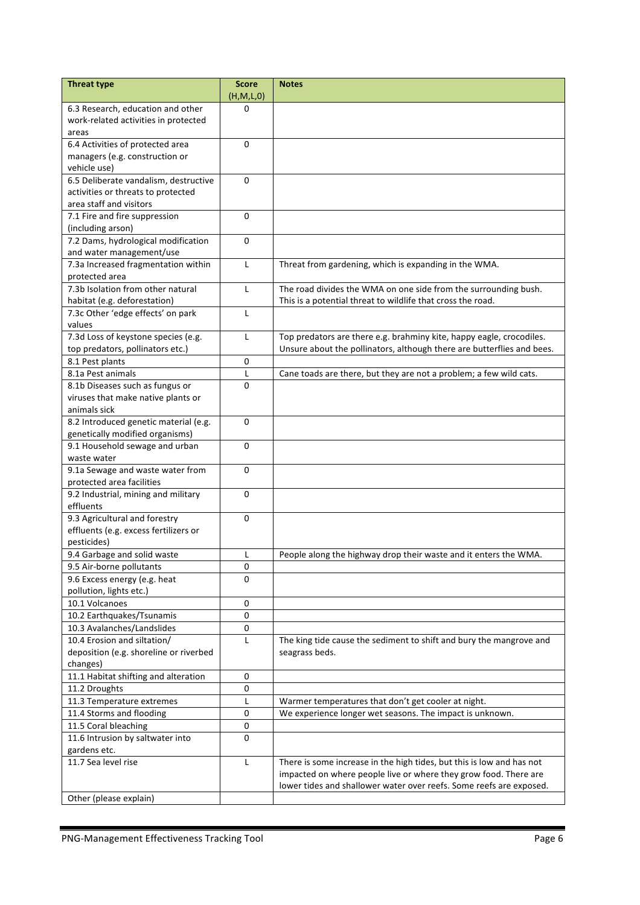| <b>Threat type</b>                                      | <b>Score</b><br>(H,M,L,0) | <b>Notes</b>                                                           |
|---------------------------------------------------------|---------------------------|------------------------------------------------------------------------|
| 6.3 Research, education and other                       | 0                         |                                                                        |
| work-related activities in protected                    |                           |                                                                        |
| areas                                                   |                           |                                                                        |
| 6.4 Activities of protected area                        | 0                         |                                                                        |
| managers (e.g. construction or                          |                           |                                                                        |
| vehicle use)                                            |                           |                                                                        |
| 6.5 Deliberate vandalism, destructive                   | $\Omega$                  |                                                                        |
| activities or threats to protected                      |                           |                                                                        |
| area staff and visitors                                 |                           |                                                                        |
| 7.1 Fire and fire suppression                           | $\Omega$                  |                                                                        |
| (including arson)                                       |                           |                                                                        |
| 7.2 Dams, hydrological modification                     | 0                         |                                                                        |
| and water management/use                                |                           |                                                                        |
| 7.3a Increased fragmentation within                     | L                         | Threat from gardening, which is expanding in the WMA.                  |
| protected area                                          |                           |                                                                        |
| 7.3b Isolation from other natural                       | $\mathsf{L}$              | The road divides the WMA on one side from the surrounding bush.        |
| habitat (e.g. deforestation)                            |                           | This is a potential threat to wildlife that cross the road.            |
| 7.3c Other 'edge effects' on park                       | $\mathbf{L}$              |                                                                        |
| values                                                  |                           |                                                                        |
| 7.3d Loss of keystone species (e.g.                     | L                         | Top predators are there e.g. brahminy kite, happy eagle, crocodiles.   |
| top predators, pollinators etc.)                        |                           | Unsure about the pollinators, although there are butterflies and bees. |
| 8.1 Pest plants                                         | 0                         |                                                                        |
| 8.1a Pest animals                                       | L                         | Cane toads are there, but they are not a problem; a few wild cats.     |
| 8.1b Diseases such as fungus or                         | 0                         |                                                                        |
| viruses that make native plants or                      |                           |                                                                        |
| animals sick                                            |                           |                                                                        |
| 8.2 Introduced genetic material (e.g.                   | $\mathbf 0$               |                                                                        |
| genetically modified organisms)                         |                           |                                                                        |
| 9.1 Household sewage and urban                          | 0                         |                                                                        |
| waste water                                             |                           |                                                                        |
| 9.1a Sewage and waste water from                        | $\mathbf 0$               |                                                                        |
| protected area facilities                               |                           |                                                                        |
| 9.2 Industrial, mining and military                     | $\Omega$                  |                                                                        |
| effluents                                               |                           |                                                                        |
| 9.3 Agricultural and forestry                           | 0                         |                                                                        |
| effluents (e.g. excess fertilizers or                   |                           |                                                                        |
| pesticides)                                             |                           |                                                                        |
| 9.4 Garbage and solid waste                             | L                         | People along the highway drop their waste and it enters the WMA.       |
| 9.5 Air-borne pollutants                                | 0                         |                                                                        |
| 9.6 Excess energy (e.g. heat<br>pollution, lights etc.) | $\Omega$                  |                                                                        |
| 10.1 Volcanoes                                          | 0                         |                                                                        |
| 10.2 Earthquakes/Tsunamis                               | 0                         |                                                                        |
| 10.3 Avalanches/Landslides                              | 0                         |                                                                        |
| 10.4 Erosion and siltation/                             | L                         | The king tide cause the sediment to shift and bury the mangrove and    |
| deposition (e.g. shoreline or riverbed                  |                           | seagrass beds.                                                         |
| changes)                                                |                           |                                                                        |
| 11.1 Habitat shifting and alteration                    | 0                         |                                                                        |
| 11.2 Droughts                                           | 0                         |                                                                        |
| 11.3 Temperature extremes                               | L                         | Warmer temperatures that don't get cooler at night.                    |
| 11.4 Storms and flooding                                | 0                         | We experience longer wet seasons. The impact is unknown.               |
| 11.5 Coral bleaching                                    | 0                         |                                                                        |
| 11.6 Intrusion by saltwater into                        | 0                         |                                                                        |
| gardens etc.                                            |                           |                                                                        |
| 11.7 Sea level rise                                     | L                         | There is some increase in the high tides, but this is low and has not  |
|                                                         |                           | impacted on where people live or where they grow food. There are       |
|                                                         |                           | lower tides and shallower water over reefs. Some reefs are exposed.    |
| Other (please explain)                                  |                           |                                                                        |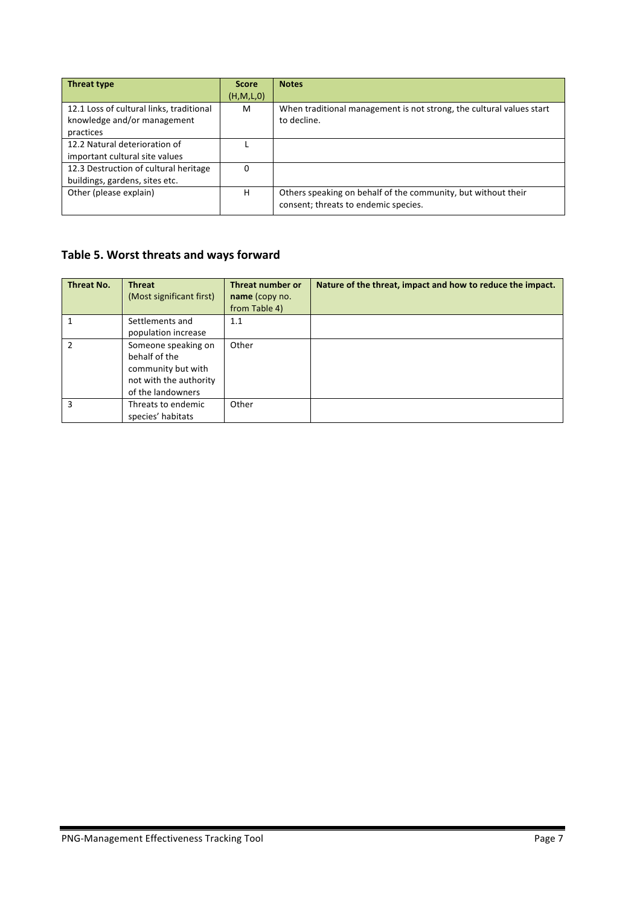| <b>Threat type</b>                       | <b>Score</b> | <b>Notes</b>                                                         |
|------------------------------------------|--------------|----------------------------------------------------------------------|
|                                          | (H, M, L, 0) |                                                                      |
| 12.1 Loss of cultural links, traditional | м            | When traditional management is not strong, the cultural values start |
| knowledge and/or management              |              | to decline.                                                          |
| practices                                |              |                                                                      |
| 12.2 Natural deterioration of            |              |                                                                      |
| important cultural site values           |              |                                                                      |
| 12.3 Destruction of cultural heritage    | 0            |                                                                      |
| buildings, gardens, sites etc.           |              |                                                                      |
| Other (please explain)                   | н            | Others speaking on behalf of the community, but without their        |
|                                          |              | consent; threats to endemic species.                                 |

## Table 5. Worst threats and ways forward

| <b>Threat No.</b> | <b>Threat</b><br>(Most significant first)                                                                 | Threat number or<br>name (copy no.<br>from Table 4) | Nature of the threat, impact and how to reduce the impact. |
|-------------------|-----------------------------------------------------------------------------------------------------------|-----------------------------------------------------|------------------------------------------------------------|
|                   | Settlements and<br>population increase                                                                    | 1.1                                                 |                                                            |
| $\mathfrak{p}$    | Someone speaking on<br>behalf of the<br>community but with<br>not with the authority<br>of the landowners | Other                                               |                                                            |
| $\mathbf{a}$      | Threats to endemic<br>species' habitats                                                                   | Other                                               |                                                            |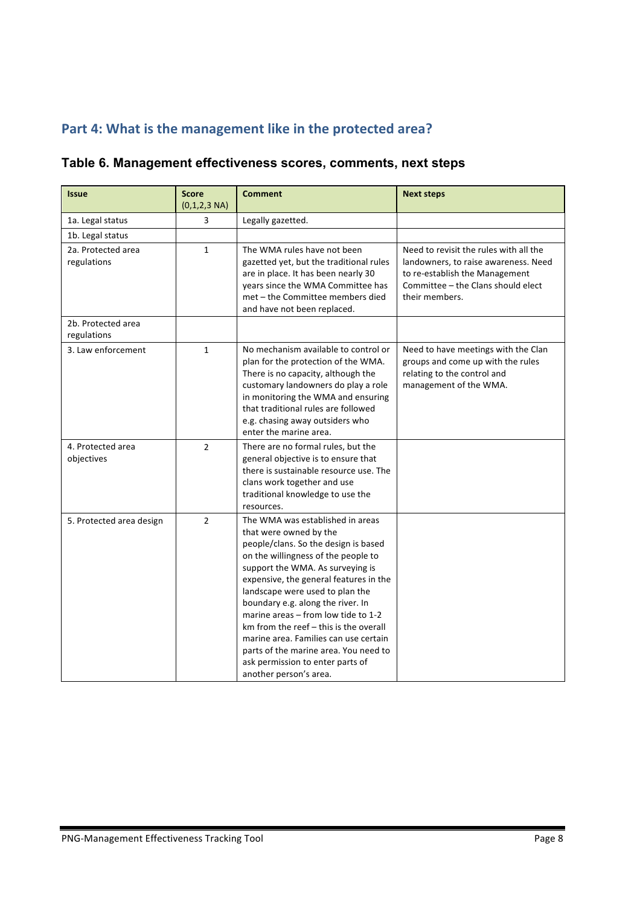# Part 4: What is the management like in the protected area?

## **Table 6. Management effectiveness scores, comments, next steps**

| <b>Issue</b>                      | <b>Score</b><br>$(0,1,2,3 \text{ NA})$ | <b>Comment</b>                                                                                                                                                                                                                                                                                                                                                                                                                                                                                                                       | <b>Next steps</b>                                                                                                                                                        |
|-----------------------------------|----------------------------------------|--------------------------------------------------------------------------------------------------------------------------------------------------------------------------------------------------------------------------------------------------------------------------------------------------------------------------------------------------------------------------------------------------------------------------------------------------------------------------------------------------------------------------------------|--------------------------------------------------------------------------------------------------------------------------------------------------------------------------|
| 1a. Legal status                  | 3                                      | Legally gazetted.                                                                                                                                                                                                                                                                                                                                                                                                                                                                                                                    |                                                                                                                                                                          |
| 1b. Legal status                  |                                        |                                                                                                                                                                                                                                                                                                                                                                                                                                                                                                                                      |                                                                                                                                                                          |
| 2a. Protected area<br>regulations | 1                                      | The WMA rules have not been<br>gazetted yet, but the traditional rules<br>are in place. It has been nearly 30<br>years since the WMA Committee has<br>met - the Committee members died<br>and have not been replaced.                                                                                                                                                                                                                                                                                                                | Need to revisit the rules with all the<br>landowners, to raise awareness. Need<br>to re-establish the Management<br>Committee - the Clans should elect<br>their members. |
| 2b. Protected area<br>regulations |                                        |                                                                                                                                                                                                                                                                                                                                                                                                                                                                                                                                      |                                                                                                                                                                          |
| 3. Law enforcement                | $\mathbf{1}$                           | No mechanism available to control or<br>plan for the protection of the WMA.<br>There is no capacity, although the<br>customary landowners do play a role<br>in monitoring the WMA and ensuring<br>that traditional rules are followed<br>e.g. chasing away outsiders who<br>enter the marine area.                                                                                                                                                                                                                                   | Need to have meetings with the Clan<br>groups and come up with the rules<br>relating to the control and<br>management of the WMA.                                        |
| 4. Protected area<br>objectives   | $\overline{2}$                         | There are no formal rules, but the<br>general objective is to ensure that<br>there is sustainable resource use. The<br>clans work together and use<br>traditional knowledge to use the<br>resources.                                                                                                                                                                                                                                                                                                                                 |                                                                                                                                                                          |
| 5. Protected area design          | $\overline{2}$                         | The WMA was established in areas<br>that were owned by the<br>people/clans. So the design is based<br>on the willingness of the people to<br>support the WMA. As surveying is<br>expensive, the general features in the<br>landscape were used to plan the<br>boundary e.g. along the river. In<br>marine areas - from low tide to 1-2<br>$km$ from the reef $-$ this is the overall<br>marine area. Families can use certain<br>parts of the marine area. You need to<br>ask permission to enter parts of<br>another person's area. |                                                                                                                                                                          |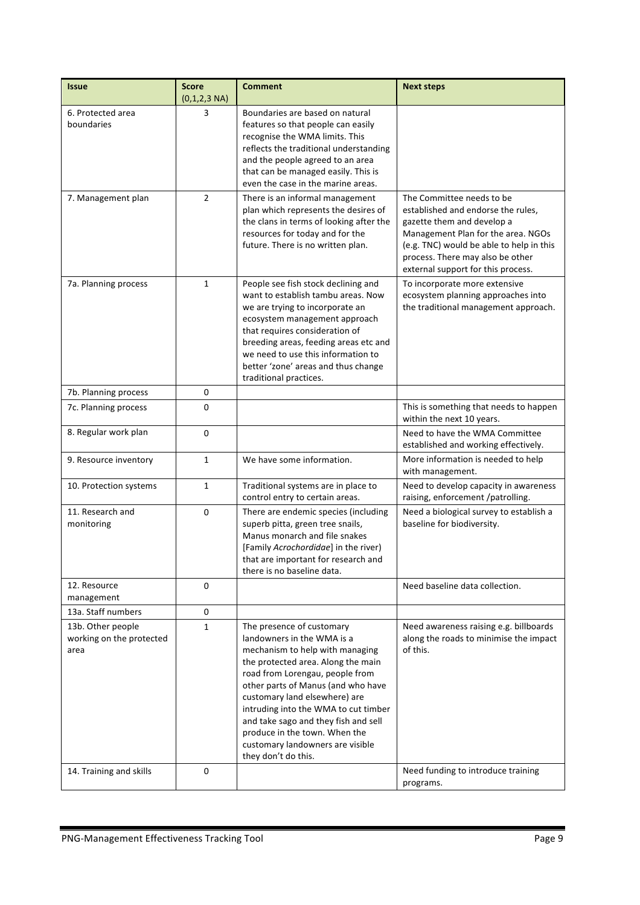| <b>Issue</b>                                          | <b>Score</b><br>$(0,1,2,3 \text{ NA})$ | <b>Comment</b>                                                                                                                                                                                                                                                                                                                                                                                                         | <b>Next steps</b>                                                                                                                                                                                                                                         |
|-------------------------------------------------------|----------------------------------------|------------------------------------------------------------------------------------------------------------------------------------------------------------------------------------------------------------------------------------------------------------------------------------------------------------------------------------------------------------------------------------------------------------------------|-----------------------------------------------------------------------------------------------------------------------------------------------------------------------------------------------------------------------------------------------------------|
| 6. Protected area<br>boundaries                       | 3                                      | Boundaries are based on natural<br>features so that people can easily<br>recognise the WMA limits. This<br>reflects the traditional understanding<br>and the people agreed to an area<br>that can be managed easily. This is<br>even the case in the marine areas.                                                                                                                                                     |                                                                                                                                                                                                                                                           |
| 7. Management plan                                    | $\overline{2}$                         | There is an informal management<br>plan which represents the desires of<br>the clans in terms of looking after the<br>resources for today and for the<br>future. There is no written plan.                                                                                                                                                                                                                             | The Committee needs to be<br>established and endorse the rules,<br>gazette them and develop a<br>Management Plan for the area. NGOs<br>(e.g. TNC) would be able to help in this<br>process. There may also be other<br>external support for this process. |
| 7a. Planning process                                  | $\mathbf{1}$                           | People see fish stock declining and<br>want to establish tambu areas. Now<br>we are trying to incorporate an<br>ecosystem management approach<br>that requires consideration of<br>breeding areas, feeding areas etc and<br>we need to use this information to<br>better 'zone' areas and thus change<br>traditional practices.                                                                                        | To incorporate more extensive<br>ecosystem planning approaches into<br>the traditional management approach.                                                                                                                                               |
| 7b. Planning process                                  | 0                                      |                                                                                                                                                                                                                                                                                                                                                                                                                        |                                                                                                                                                                                                                                                           |
| 7c. Planning process                                  | 0                                      |                                                                                                                                                                                                                                                                                                                                                                                                                        | This is something that needs to happen<br>within the next 10 years.                                                                                                                                                                                       |
| 8. Regular work plan                                  | 0                                      |                                                                                                                                                                                                                                                                                                                                                                                                                        | Need to have the WMA Committee<br>established and working effectively.                                                                                                                                                                                    |
| 9. Resource inventory                                 | $\mathbf{1}$                           | We have some information.                                                                                                                                                                                                                                                                                                                                                                                              | More information is needed to help<br>with management.                                                                                                                                                                                                    |
| 10. Protection systems                                | $\mathbf{1}$                           | Traditional systems are in place to<br>control entry to certain areas.                                                                                                                                                                                                                                                                                                                                                 | Need to develop capacity in awareness<br>raising, enforcement /patrolling.                                                                                                                                                                                |
| 11. Research and<br>monitoring                        | 0                                      | There are endemic species (including<br>superb pitta, green tree snails,<br>Manus monarch and file snakes<br>[Family Acrochordidae] in the river)<br>that are important for research and<br>there is no baseline data.                                                                                                                                                                                                 | Need a biological survey to establish a<br>baseline for biodiversity.                                                                                                                                                                                     |
| 12. Resource<br>management                            | 0                                      |                                                                                                                                                                                                                                                                                                                                                                                                                        | Need baseline data collection.                                                                                                                                                                                                                            |
| 13a. Staff numbers                                    | 0                                      |                                                                                                                                                                                                                                                                                                                                                                                                                        |                                                                                                                                                                                                                                                           |
| 13b. Other people<br>working on the protected<br>area | $\mathbf{1}$                           | The presence of customary<br>landowners in the WMA is a<br>mechanism to help with managing<br>the protected area. Along the main<br>road from Lorengau, people from<br>other parts of Manus (and who have<br>customary land elsewhere) are<br>intruding into the WMA to cut timber<br>and take sago and they fish and sell<br>produce in the town. When the<br>customary landowners are visible<br>they don't do this. | Need awareness raising e.g. billboards<br>along the roads to minimise the impact<br>of this.                                                                                                                                                              |
| 14. Training and skills                               | 0                                      |                                                                                                                                                                                                                                                                                                                                                                                                                        | Need funding to introduce training<br>programs.                                                                                                                                                                                                           |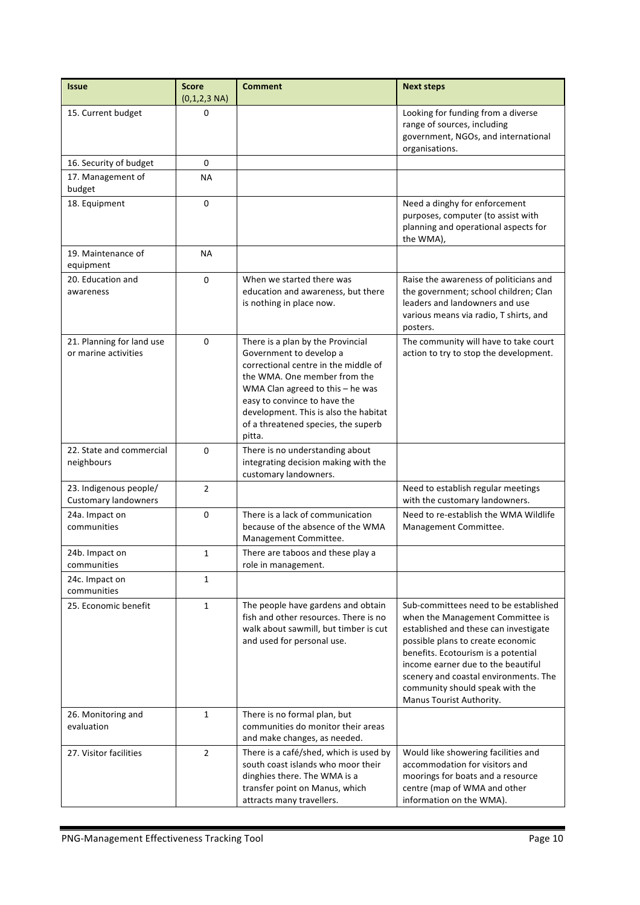| <b>Issue</b>                                          | <b>Score</b><br>$(0,1,2,3 \text{ NA})$ | <b>Comment</b>                                                                                                                                                                                                                                                                                       | <b>Next steps</b>                                                                                                                                                                                                                                                                                                                            |
|-------------------------------------------------------|----------------------------------------|------------------------------------------------------------------------------------------------------------------------------------------------------------------------------------------------------------------------------------------------------------------------------------------------------|----------------------------------------------------------------------------------------------------------------------------------------------------------------------------------------------------------------------------------------------------------------------------------------------------------------------------------------------|
| 15. Current budget                                    | 0                                      |                                                                                                                                                                                                                                                                                                      | Looking for funding from a diverse<br>range of sources, including<br>government, NGOs, and international<br>organisations.                                                                                                                                                                                                                   |
| 16. Security of budget                                | 0                                      |                                                                                                                                                                                                                                                                                                      |                                                                                                                                                                                                                                                                                                                                              |
| 17. Management of<br>budget                           | NА                                     |                                                                                                                                                                                                                                                                                                      |                                                                                                                                                                                                                                                                                                                                              |
| 18. Equipment                                         | 0                                      |                                                                                                                                                                                                                                                                                                      | Need a dinghy for enforcement<br>purposes, computer (to assist with<br>planning and operational aspects for<br>the WMA),                                                                                                                                                                                                                     |
| 19. Maintenance of<br>equipment                       | <b>NA</b>                              |                                                                                                                                                                                                                                                                                                      |                                                                                                                                                                                                                                                                                                                                              |
| 20. Education and<br>awareness                        | 0                                      | When we started there was<br>education and awareness, but there<br>is nothing in place now.                                                                                                                                                                                                          | Raise the awareness of politicians and<br>the government; school children; Clan<br>leaders and landowners and use<br>various means via radio, T shirts, and<br>posters.                                                                                                                                                                      |
| 21. Planning for land use<br>or marine activities     | $\Omega$                               | There is a plan by the Provincial<br>Government to develop a<br>correctional centre in the middle of<br>the WMA. One member from the<br>WMA Clan agreed to this $-$ he was<br>easy to convince to have the<br>development. This is also the habitat<br>of a threatened species, the superb<br>pitta. | The community will have to take court<br>action to try to stop the development.                                                                                                                                                                                                                                                              |
| 22. State and commercial<br>neighbours                | 0                                      | There is no understanding about<br>integrating decision making with the<br>customary landowners.                                                                                                                                                                                                     |                                                                                                                                                                                                                                                                                                                                              |
| 23. Indigenous people/<br><b>Customary landowners</b> | $\overline{2}$                         |                                                                                                                                                                                                                                                                                                      | Need to establish regular meetings<br>with the customary landowners.                                                                                                                                                                                                                                                                         |
| 24a. Impact on<br>communities                         | 0                                      | There is a lack of communication<br>because of the absence of the WMA<br>Management Committee.                                                                                                                                                                                                       | Need to re-establish the WMA Wildlife<br>Management Committee.                                                                                                                                                                                                                                                                               |
| 24b. Impact on<br>communities                         | $\mathbf{1}$                           | There are taboos and these play a<br>role in management.                                                                                                                                                                                                                                             |                                                                                                                                                                                                                                                                                                                                              |
| 24c. Impact on<br>communities                         | $\mathbf{1}$                           |                                                                                                                                                                                                                                                                                                      |                                                                                                                                                                                                                                                                                                                                              |
| 25. Economic benefit                                  | $\mathbf{1}$                           | The people have gardens and obtain<br>fish and other resources. There is no<br>walk about sawmill, but timber is cut<br>and used for personal use.                                                                                                                                                   | Sub-committees need to be established<br>when the Management Committee is<br>established and these can investigate<br>possible plans to create economic<br>benefits. Ecotourism is a potential<br>income earner due to the beautiful<br>scenery and coastal environments. The<br>community should speak with the<br>Manus Tourist Authority. |
| 26. Monitoring and<br>evaluation                      | $\mathbf{1}$                           | There is no formal plan, but<br>communities do monitor their areas<br>and make changes, as needed.                                                                                                                                                                                                   |                                                                                                                                                                                                                                                                                                                                              |
| 27. Visitor facilities                                | $\overline{2}$                         | There is a café/shed, which is used by<br>south coast islands who moor their<br>dinghies there. The WMA is a<br>transfer point on Manus, which<br>attracts many travellers.                                                                                                                          | Would like showering facilities and<br>accommodation for visitors and<br>moorings for boats and a resource<br>centre (map of WMA and other<br>information on the WMA).                                                                                                                                                                       |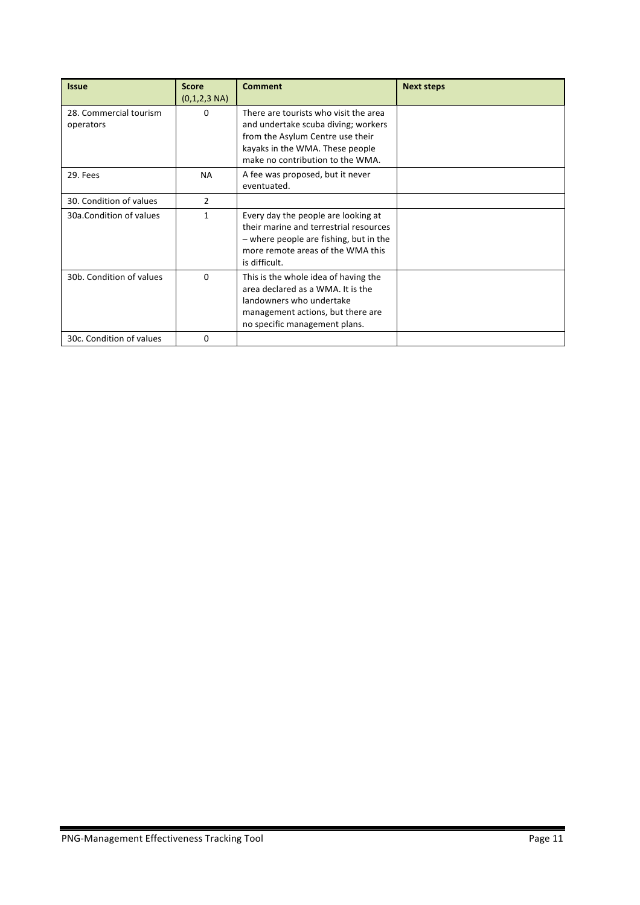| <b>Issue</b>                        | <b>Score</b><br>$(0,1,2,3 \text{ NA})$ | <b>Comment</b>                                                                                                                                                                          | <b>Next steps</b> |
|-------------------------------------|----------------------------------------|-----------------------------------------------------------------------------------------------------------------------------------------------------------------------------------------|-------------------|
| 28. Commercial tourism<br>operators | 0                                      | There are tourists who visit the area<br>and undertake scuba diving; workers<br>from the Asylum Centre use their<br>kayaks in the WMA. These people<br>make no contribution to the WMA. |                   |
| 29. Fees                            | <b>NA</b>                              | A fee was proposed, but it never<br>eventuated.                                                                                                                                         |                   |
| 30. Condition of values             | 2                                      |                                                                                                                                                                                         |                   |
| 30a.Condition of values             | 1                                      | Every day the people are looking at<br>their marine and terrestrial resources<br>$-$ where people are fishing, but in the<br>more remote areas of the WMA this<br>is difficult.         |                   |
| 30b. Condition of values            | $\Omega$                               | This is the whole idea of having the<br>area declared as a WMA. It is the<br>landowners who undertake<br>management actions, but there are<br>no specific management plans.             |                   |
| 30c. Condition of values            | $\Omega$                               |                                                                                                                                                                                         |                   |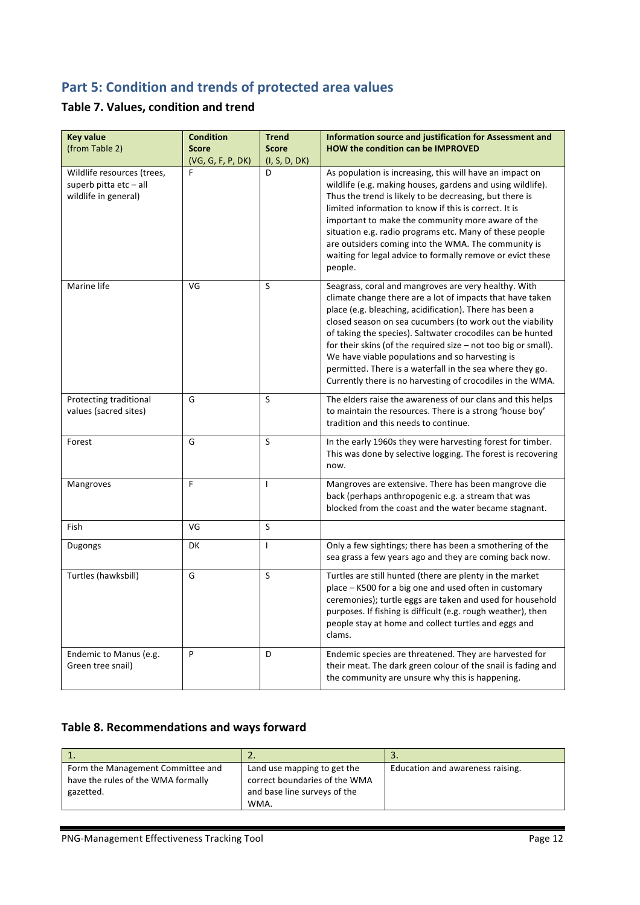# **Part 5: Condition and trends of protected area values**

### **Table 7. Values, condition and trend**

| <b>Key value</b><br>(from Table 2)                                           | <b>Condition</b><br><b>Score</b><br>(VG, G, F, P, DK) | <b>Trend</b><br><b>Score</b><br>(I, S, D, DK) | Information source and justification for Assessment and<br><b>HOW the condition can be IMPROVED</b>                                                                                                                                                                                                                                                                                                                                                                                                                                                       |
|------------------------------------------------------------------------------|-------------------------------------------------------|-----------------------------------------------|-----------------------------------------------------------------------------------------------------------------------------------------------------------------------------------------------------------------------------------------------------------------------------------------------------------------------------------------------------------------------------------------------------------------------------------------------------------------------------------------------------------------------------------------------------------|
| Wildlife resources (trees,<br>superb pitta etc - all<br>wildlife in general) | F                                                     | D                                             | As population is increasing, this will have an impact on<br>wildlife (e.g. making houses, gardens and using wildlife).<br>Thus the trend is likely to be decreasing, but there is<br>limited information to know if this is correct. It is<br>important to make the community more aware of the<br>situation e.g. radio programs etc. Many of these people<br>are outsiders coming into the WMA. The community is<br>waiting for legal advice to formally remove or evict these<br>people.                                                                |
| Marine life                                                                  | VG                                                    | S                                             | Seagrass, coral and mangroves are very healthy. With<br>climate change there are a lot of impacts that have taken<br>place (e.g. bleaching, acidification). There has been a<br>closed season on sea cucumbers (to work out the viability<br>of taking the species). Saltwater crocodiles can be hunted<br>for their skins (of the required size $-$ not too big or small).<br>We have viable populations and so harvesting is<br>permitted. There is a waterfall in the sea where they go.<br>Currently there is no harvesting of crocodiles in the WMA. |
| Protecting traditional<br>values (sacred sites)                              | G                                                     | S                                             | The elders raise the awareness of our clans and this helps<br>to maintain the resources. There is a strong 'house boy'<br>tradition and this needs to continue.                                                                                                                                                                                                                                                                                                                                                                                           |
| Forest                                                                       | G                                                     | S                                             | In the early 1960s they were harvesting forest for timber.<br>This was done by selective logging. The forest is recovering<br>now.                                                                                                                                                                                                                                                                                                                                                                                                                        |
| Mangroves                                                                    | F                                                     | $\mathbf{I}$                                  | Mangroves are extensive. There has been mangrove die<br>back (perhaps anthropogenic e.g. a stream that was<br>blocked from the coast and the water became stagnant.                                                                                                                                                                                                                                                                                                                                                                                       |
| Fish                                                                         | VG                                                    | S                                             |                                                                                                                                                                                                                                                                                                                                                                                                                                                                                                                                                           |
| Dugongs                                                                      | DK                                                    | $\mathbf{I}$                                  | Only a few sightings; there has been a smothering of the<br>sea grass a few years ago and they are coming back now.                                                                                                                                                                                                                                                                                                                                                                                                                                       |
| Turtles (hawksbill)                                                          | G                                                     | S                                             | Turtles are still hunted (there are plenty in the market<br>place - K500 for a big one and used often in customary<br>ceremonies); turtle eggs are taken and used for household<br>purposes. If fishing is difficult (e.g. rough weather), then<br>people stay at home and collect turtles and eggs and<br>clams.                                                                                                                                                                                                                                         |
| Endemic to Manus (e.g.<br>Green tree snail)                                  | P                                                     | D                                             | Endemic species are threatened. They are harvested for<br>their meat. The dark green colour of the snail is fading and<br>the community are unsure why this is happening.                                                                                                                                                                                                                                                                                                                                                                                 |

### Table 8. Recommendations and ways forward

| <b>.</b>                           | <u></u>                       | <u>. .</u>                       |
|------------------------------------|-------------------------------|----------------------------------|
| Form the Management Committee and  | Land use mapping to get the   | Education and awareness raising. |
| have the rules of the WMA formally | correct boundaries of the WMA |                                  |
| gazetted.                          | and base line surveys of the  |                                  |
|                                    | WMA.                          |                                  |